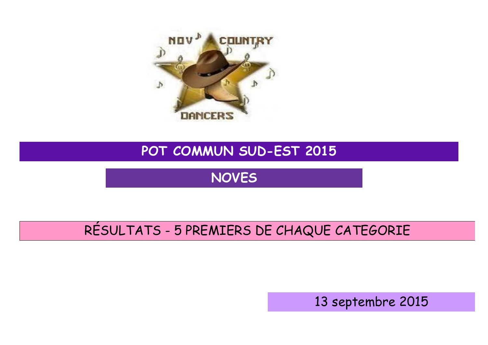

## **POT COMMUN SUD-EST 2015**

**NOVES**

## RÉSULTATS - 5 PREMIERS DE CHAQUE CATEGORIE

13 septembre 2015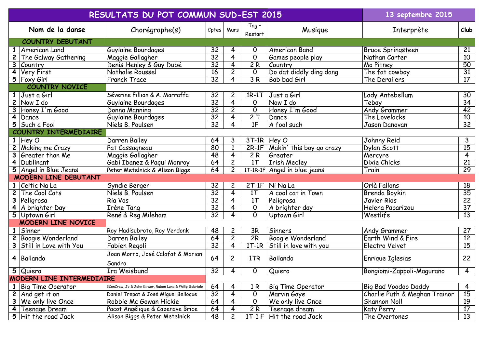|                             | RESULTATS DU POT COMMUN SUD-EST 2015         | 13 septembre 2015                                        |                 |                |                  |                              |                               |                 |
|-----------------------------|----------------------------------------------|----------------------------------------------------------|-----------------|----------------|------------------|------------------------------|-------------------------------|-----------------|
|                             | Nom de la danse                              | Chorégraphe(s)                                           | Cptes           | Murs           | Tag -<br>Restart | Musique                      | Interprète                    | Club            |
| <b>COUNTRY DEBUTANT</b>     |                                              |                                                          |                 |                |                  |                              |                               |                 |
|                             | <b>American Land</b>                         | Guylaine Bourdages                                       | 32              | 4              | 0                | American Band                | Bruce Springsteen             | 21              |
| $\mathbf{2}$                | The Galway Gathering                         | Maggie Gallagher                                         | $\overline{32}$ | 4              | $\mathsf{O}$     | Games people play            | Nathan Carter                 | 10              |
| 3                           | Country                                      | Denis Henley & Guy Dubé                                  | $\overline{32}$ | $\overline{4}$ | 2R               | Country                      | Mo Pitney                     | $\overline{50}$ |
| 4                           | Very First                                   | Nathalie Roussel                                         | 16              | $\overline{c}$ | $\mathsf{O}$     | Do dat diddly ding dang      | The fat cowboy                | 31              |
|                             | $\overline{5}$   Foxy Girl                   | <b>Franck Trace</b>                                      | $\overline{32}$ | 4              | $\overline{3R}$  | Bab bad Girl                 | The Derailers                 | 17              |
|                             | <b>COUNTRY NOVICE</b>                        |                                                          |                 |                |                  |                              |                               |                 |
| $\mathbf{1}$                | Just a Girl                                  | Séverine Fillion & A. Marraffa                           | 32              | $\mathbf{2}$   | $1R-1T$          | Just a Girl                  | Lady Antebellum               | 30              |
| $\overline{2}$              | Now I do                                     | Guylaine Bourdages                                       | $\overline{32}$ | $\overline{4}$ | 0                | Now I do                     | Tebay                         | 34              |
|                             | Honey I'm Good                               | Donna Manning                                            | $\overline{32}$ | $\overline{c}$ | $\mathsf{O}$     | Honey I'm Good               | Andy Grammer                  | 42              |
| $\overline{\mathbf{4}}$     | Dance                                        | Guylaine Bourdages                                       | 32              | $\overline{4}$ | 2T               | Dance                        | The Lovelocks                 | 10              |
| 5                           | Such a Fool                                  | Niels B. Poulsen                                         | $\overline{32}$ | 4              | 1F               | A fool such                  | Jason Danovan                 | $\overline{32}$ |
|                             | COUNTRY INTERMEDIAIRE                        |                                                          |                 |                |                  |                              |                               |                 |
|                             | $1$ Hey O                                    | Darren Bailey                                            | 64              | 3              | $3T-1R$ Hey O    |                              | Johnny Reid                   | 3               |
| $\mathbf{2}$                | <b>Making me Crazy</b>                       | Pat Cassagneau                                           | 80              | $\mathbf{1}$   | $2R-1F$          | Makin' this boy go crazy     | Dylan Scott                   | $\overline{15}$ |
|                             | Greater than Me                              | Maggie Gallagher                                         | 48              | $\overline{4}$ | 2R               | Greater                      | Mercyre                       | $\overline{4}$  |
| $\overline{\mathbf{4}}$     | Dublinant                                    | Gabi Ibanez & Paqui Monroy                               | 64              | $\overline{c}$ | 1 <sub>T</sub>   | <b>Irish Medley</b>          | Dixie Chicks                  | $\overline{21}$ |
| 5                           | Angel in Blue Jeans                          | Peter Metelnick & Alison Biggs                           | 64              | $\overline{c}$ |                  | 1T-1R-1F Angel in blue jeans | Train                         | 29              |
| <b>MODERN LINE DEBUTANT</b> |                                              |                                                          |                 |                |                  |                              |                               |                 |
|                             | Celtic Na La                                 | Syndie Berger                                            | 32              | 2              | $2T-1F$          | Ni Na La                     | Orlà Fallons                  | 18              |
| $\mathbf{2}$                | The Cool Cats                                | Niels B. Poulsen                                         | $\overline{32}$ | $\overline{4}$ | 1 <sub>T</sub>   | A cool cat in Town           | Brenda Boykin                 | $\overline{35}$ |
| 3                           | Peligrosa                                    | Ria Vos                                                  | $\overline{32}$ | $\overline{4}$ | 1 <sub>T</sub>   | Peligrosa                    | Javier Rios                   | $\overline{22}$ |
| 4                           | A brighter Day                               | Irène Tang                                               | 32              | 4              | 0                | A brighter day               | Helena Paparizou              | 37              |
| $\overline{5}$              | Uptown Girl                                  | René & Reg Mileham                                       | $\overline{32}$ | 4              | $\Omega$         | Uptown Girl                  | Westlife                      | $\overline{13}$ |
|                             | <b>MODERN LINE NOVICE</b>                    |                                                          |                 |                |                  |                              |                               |                 |
| $\mathbf{1}$                | Sinner                                       | Roy Hadisubroto, Roy Verdonk                             | 48              | $\overline{c}$ | 3R               | <b>Sinners</b>               | Andy Grammer                  | 27              |
| $\mathbf{2}$                | <b>Boogie Wonderland</b>                     | Darren Bailey                                            | 64              | $\overline{c}$ | 2R               | <b>Boogie Wonderland</b>     | Earth Wind & Fire             | 12              |
|                             | Still in Love with You                       | Fabien Regoli                                            | $\overline{32}$ | $\overline{4}$ | $1T-1R$          | Still in love with you       | Electro Velvet                | $\overline{15}$ |
|                             |                                              | Joan Morro, José Calafat & Marian                        |                 |                |                  |                              |                               |                 |
| 4                           | Bailando                                     |                                                          | 64              | $\overline{c}$ | 1TR              | Bailando                     | Enrique Iglesias              | 22              |
|                             |                                              | Sandro                                                   |                 |                |                  |                              |                               |                 |
|                             | 5 Quiero<br><b>MODERN LINE INTERMEDIAIRE</b> | Ira Weisbund                                             | 32              | 4              | 0                | Quiero                       | Bongiomi-Zappoli-Magurano     | $\overline{4}$  |
|                             |                                              |                                                          |                 |                |                  |                              |                               |                 |
|                             | <b>Big Time Operator</b>                     | 3ConCrew, Jo & John Kinser, Ruben Luna & Philip Sobrielo | 64              | 4              | 1 <sub>R</sub>   | <b>Big Time Operator</b>     | <b>Big Bad Voodoo Daddy</b>   | $\overline{4}$  |
| $\overline{c}$              | And get it on                                | Daniel Trepat & José Miguel Belloque                     | 32              | 4              | 0                | Marvin Gaye                  | Charlie Puth & Meghan Trainor | 15              |
| 3                           | We only live Once                            | Robbie Mc Gowan Hickie                                   | 64              | 4              | 0                | We only live Once            | <b>Shannon Noll</b>           | 19              |
| $\overline{\mathbf{4}}$     | Teenage Dream                                | Pacot Angélique & Cazenave Brice                         | 64              | 4              | 2R               | Teenage dream                | Katy Perry                    | 17              |
| 5                           | Hit the road Jack                            | Alison Biggs & Peter Metelnick                           | 48              | $\overline{c}$ | $1T-1F$          | Hit the road Jack            | The Overtones                 | 13              |